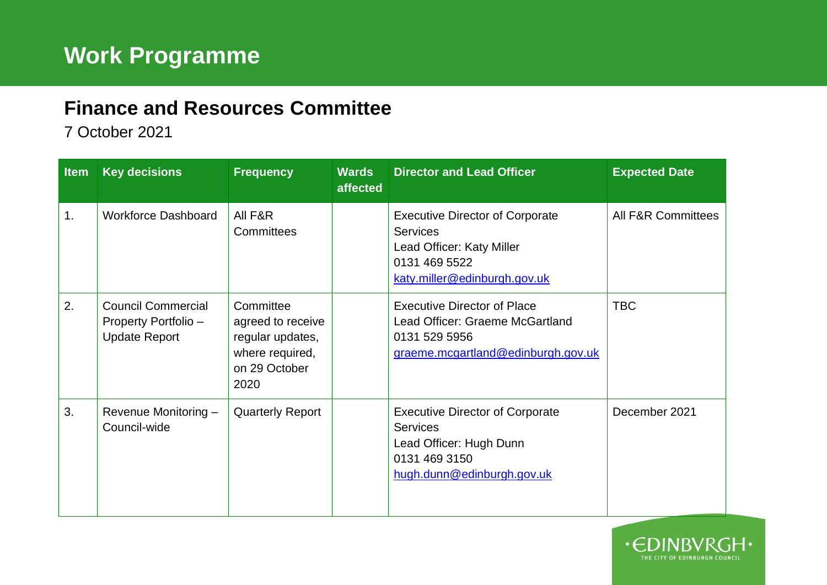## **Finance and Resources Committee**

7 October 2021

| <b>Item</b> | <b>Key decisions</b>                                                      | <b>Frequency</b>                                                                               | <b>Wards</b><br>affected | <b>Director and Lead Officer</b>                                                                                                        | <b>Expected Date</b>          |
|-------------|---------------------------------------------------------------------------|------------------------------------------------------------------------------------------------|--------------------------|-----------------------------------------------------------------------------------------------------------------------------------------|-------------------------------|
| 1.          | <b>Workforce Dashboard</b>                                                | All F&R<br>Committees                                                                          |                          | <b>Executive Director of Corporate</b><br><b>Services</b><br>Lead Officer: Katy Miller<br>0131 469 5522<br>katy.miller@edinburgh.gov.uk | <b>All F&amp;R Committees</b> |
| 2.          | <b>Council Commercial</b><br>Property Portfolio -<br><b>Update Report</b> | Committee<br>agreed to receive<br>regular updates,<br>where required,<br>on 29 October<br>2020 |                          | <b>Executive Director of Place</b><br>Lead Officer: Graeme McGartland<br>0131 529 5956<br>graeme.mcgartland@edinburgh.gov.uk            | <b>TBC</b>                    |
| 3.          | Revenue Monitoring -<br>Council-wide                                      | <b>Quarterly Report</b>                                                                        |                          | <b>Executive Director of Corporate</b><br><b>Services</b><br>Lead Officer: Hugh Dunn<br>0131 469 3150<br>hugh.dunn@edinburgh.gov.uk     | December 2021                 |

THE CITY OF EDINBURGH COUNCIL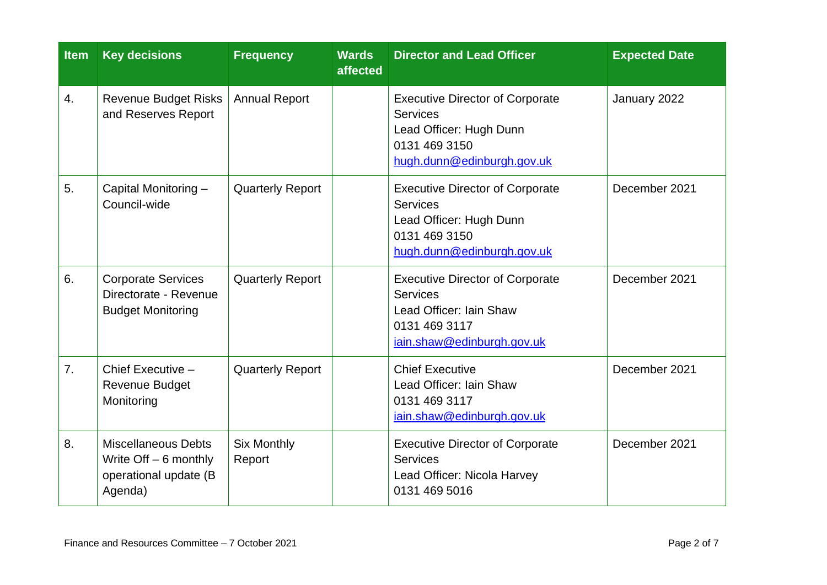| <b>Item</b>      | <b>Key decisions</b>                                                                      | <b>Frequency</b>             | <b>Wards</b><br>affected | <b>Director and Lead Officer</b>                                                                                                    | <b>Expected Date</b> |
|------------------|-------------------------------------------------------------------------------------------|------------------------------|--------------------------|-------------------------------------------------------------------------------------------------------------------------------------|----------------------|
| 4.               | <b>Revenue Budget Risks</b><br>and Reserves Report                                        | <b>Annual Report</b>         |                          | <b>Executive Director of Corporate</b><br><b>Services</b><br>Lead Officer: Hugh Dunn<br>0131 469 3150<br>hugh.dunn@edinburgh.gov.uk | January 2022         |
| 5.               | Capital Monitoring -<br>Council-wide                                                      | <b>Quarterly Report</b>      |                          | <b>Executive Director of Corporate</b><br><b>Services</b><br>Lead Officer: Hugh Dunn<br>0131 469 3150<br>hugh.dunn@edinburgh.gov.uk | December 2021        |
| 6.               | <b>Corporate Services</b><br>Directorate - Revenue<br><b>Budget Monitoring</b>            | <b>Quarterly Report</b>      |                          | <b>Executive Director of Corporate</b><br><b>Services</b><br>Lead Officer: Iain Shaw<br>0131 469 3117<br>iain.shaw@edinburgh.gov.uk | December 2021        |
| $\overline{7}$ . | Chief Executive -<br><b>Revenue Budget</b><br>Monitoring                                  | <b>Quarterly Report</b>      |                          | <b>Chief Executive</b><br>Lead Officer: Iain Shaw<br>0131 469 3117<br>iain.shaw@edinburgh.gov.uk                                    | December 2021        |
| 8.               | <b>Miscellaneous Debts</b><br>Write $Off - 6$ monthly<br>operational update (B<br>Agenda) | <b>Six Monthly</b><br>Report |                          | <b>Executive Director of Corporate</b><br><b>Services</b><br>Lead Officer: Nicola Harvey<br>0131 469 5016                           | December 2021        |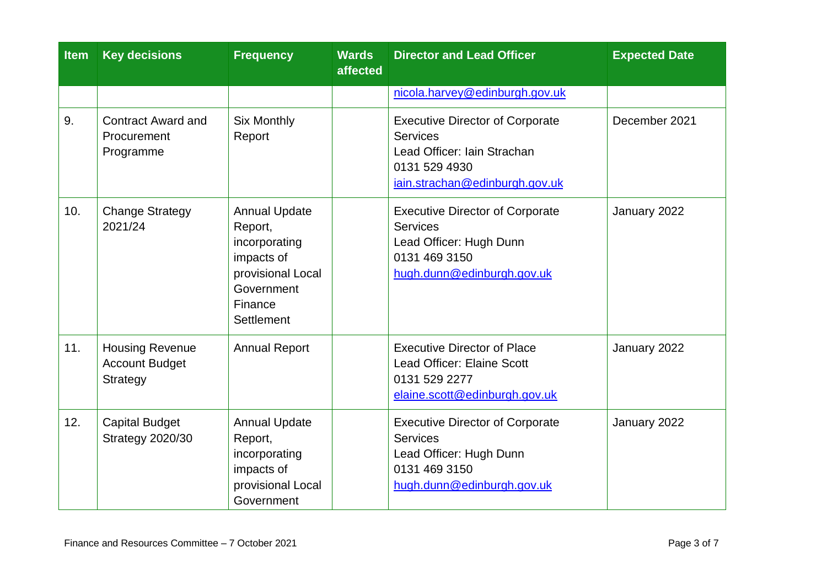| <b>Item</b> | <b>Key decisions</b>                                        | <b>Frequency</b>                                                                                                           | <b>Wards</b><br>affected | <b>Director and Lead Officer</b>                                                                                                            | <b>Expected Date</b> |
|-------------|-------------------------------------------------------------|----------------------------------------------------------------------------------------------------------------------------|--------------------------|---------------------------------------------------------------------------------------------------------------------------------------------|----------------------|
|             |                                                             |                                                                                                                            |                          | nicola.harvey@edinburgh.gov.uk                                                                                                              |                      |
| 9.          | <b>Contract Award and</b><br>Procurement<br>Programme       | <b>Six Monthly</b><br>Report                                                                                               |                          | <b>Executive Director of Corporate</b><br><b>Services</b><br>Lead Officer: Iain Strachan<br>0131 529 4930<br>iain.strachan@edinburgh.gov.uk | December 2021        |
| 10.         | <b>Change Strategy</b><br>2021/24                           | <b>Annual Update</b><br>Report,<br>incorporating<br>impacts of<br>provisional Local<br>Government<br>Finance<br>Settlement |                          | <b>Executive Director of Corporate</b><br><b>Services</b><br>Lead Officer: Hugh Dunn<br>0131 469 3150<br>hugh.dunn@edinburgh.gov.uk         | January 2022         |
| 11.         | <b>Housing Revenue</b><br><b>Account Budget</b><br>Strategy | <b>Annual Report</b>                                                                                                       |                          | <b>Executive Director of Place</b><br>Lead Officer: Elaine Scott<br>0131 529 2277<br>elaine.scott@edinburgh.gov.uk                          | January 2022         |
| 12.         | <b>Capital Budget</b><br><b>Strategy 2020/30</b>            | <b>Annual Update</b><br>Report,<br>incorporating<br>impacts of<br>provisional Local<br>Government                          |                          | <b>Executive Director of Corporate</b><br><b>Services</b><br>Lead Officer: Hugh Dunn<br>0131 469 3150<br>hugh.dunn@edinburgh.gov.uk         | January 2022         |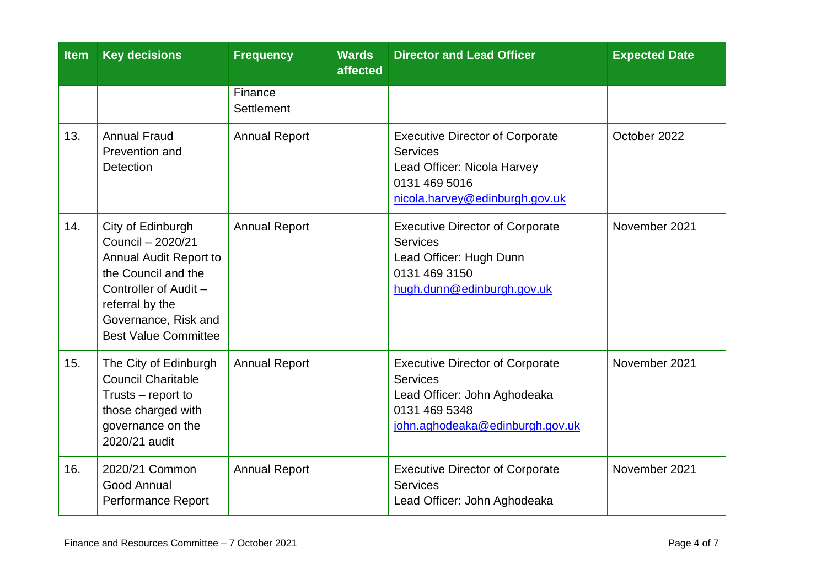| <b>Item</b> | <b>Key decisions</b>                                                                                                                                                                       | <b>Frequency</b>      | <b>Wards</b><br>affected | <b>Director and Lead Officer</b>                                                                                                              | <b>Expected Date</b> |
|-------------|--------------------------------------------------------------------------------------------------------------------------------------------------------------------------------------------|-----------------------|--------------------------|-----------------------------------------------------------------------------------------------------------------------------------------------|----------------------|
|             |                                                                                                                                                                                            | Finance<br>Settlement |                          |                                                                                                                                               |                      |
| 13.         | <b>Annual Fraud</b><br>Prevention and<br><b>Detection</b>                                                                                                                                  | <b>Annual Report</b>  |                          | <b>Executive Director of Corporate</b><br><b>Services</b><br>Lead Officer: Nicola Harvey<br>0131 469 5016<br>nicola.harvey@edinburgh.gov.uk   | October 2022         |
| 14.         | City of Edinburgh<br>Council - 2020/21<br>Annual Audit Report to<br>the Council and the<br>Controller of Audit -<br>referral by the<br>Governance, Risk and<br><b>Best Value Committee</b> | <b>Annual Report</b>  |                          | <b>Executive Director of Corporate</b><br><b>Services</b><br>Lead Officer: Hugh Dunn<br>0131 469 3150<br>hugh.dunn@edinburgh.gov.uk           | November 2021        |
| 15.         | The City of Edinburgh<br><b>Council Charitable</b><br>Trusts – report to<br>those charged with<br>governance on the<br>2020/21 audit                                                       | <b>Annual Report</b>  |                          | <b>Executive Director of Corporate</b><br><b>Services</b><br>Lead Officer: John Aghodeaka<br>0131 469 5348<br>john.aghodeaka@edinburgh.gov.uk | November 2021        |
| 16.         | 2020/21 Common<br>Good Annual<br>Performance Report                                                                                                                                        | <b>Annual Report</b>  |                          | <b>Executive Director of Corporate</b><br><b>Services</b><br>Lead Officer: John Aghodeaka                                                     | November 2021        |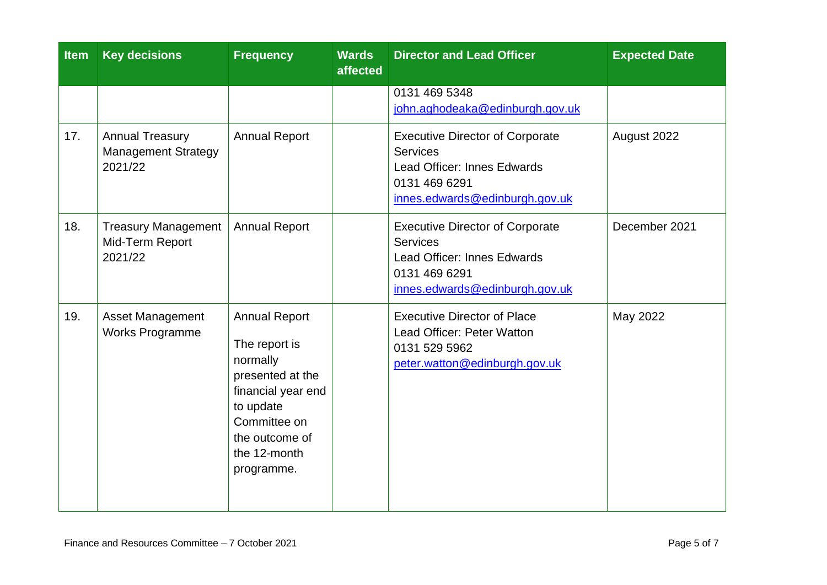| <b>Item</b> | <b>Key decisions</b>                                            | <b>Frequency</b>                                                                                                                                                         | <b>Wards</b><br>affected | <b>Director and Lead Officer</b>                                                                                                                   | <b>Expected Date</b> |
|-------------|-----------------------------------------------------------------|--------------------------------------------------------------------------------------------------------------------------------------------------------------------------|--------------------------|----------------------------------------------------------------------------------------------------------------------------------------------------|----------------------|
|             |                                                                 |                                                                                                                                                                          |                          | 0131 469 5348<br>john.aghodeaka@edinburgh.gov.uk                                                                                                   |                      |
| 17.         | <b>Annual Treasury</b><br><b>Management Strategy</b><br>2021/22 | <b>Annual Report</b>                                                                                                                                                     |                          | <b>Executive Director of Corporate</b><br><b>Services</b><br><b>Lead Officer: Innes Edwards</b><br>0131 469 6291<br>innes.edwards@edinburgh.gov.uk | August 2022          |
| 18.         | <b>Treasury Management</b><br>Mid-Term Report<br>2021/22        | <b>Annual Report</b>                                                                                                                                                     |                          | <b>Executive Director of Corporate</b><br><b>Services</b><br><b>Lead Officer: Innes Edwards</b><br>0131 469 6291<br>innes.edwards@edinburgh.gov.uk | December 2021        |
| 19.         | <b>Asset Management</b><br><b>Works Programme</b>               | <b>Annual Report</b><br>The report is<br>normally<br>presented at the<br>financial year end<br>to update<br>Committee on<br>the outcome of<br>the 12-month<br>programme. |                          | <b>Executive Director of Place</b><br>Lead Officer: Peter Watton<br>0131 529 5962<br>peter.watton@edinburgh.gov.uk                                 | May 2022             |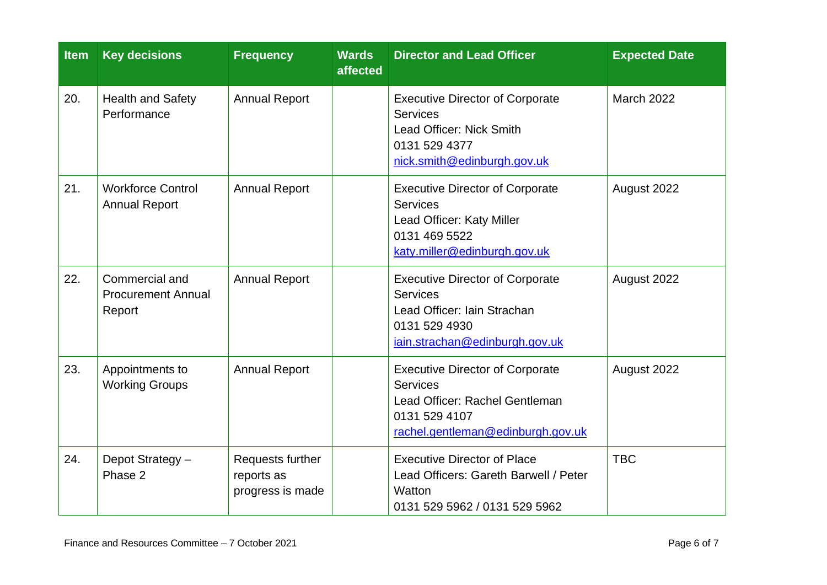| <b>Item</b> | <b>Key decisions</b>                                  | <b>Frequency</b>                                   | <b>Wards</b><br>affected                                                                                                                | <b>Director and Lead Officer</b>                                                                                                                  | <b>Expected Date</b> |
|-------------|-------------------------------------------------------|----------------------------------------------------|-----------------------------------------------------------------------------------------------------------------------------------------|---------------------------------------------------------------------------------------------------------------------------------------------------|----------------------|
| 20.         | <b>Health and Safety</b><br>Performance               | <b>Annual Report</b>                               |                                                                                                                                         | <b>Executive Director of Corporate</b><br><b>Services</b><br>Lead Officer: Nick Smith<br>0131 529 4377<br>nick.smith@edinburgh.gov.uk             | <b>March 2022</b>    |
| 21.         | <b>Workforce Control</b><br><b>Annual Report</b>      | <b>Annual Report</b>                               | <b>Executive Director of Corporate</b><br><b>Services</b><br>Lead Officer: Katy Miller<br>0131 469 5522<br>katy.miller@edinburgh.gov.uk |                                                                                                                                                   | August 2022          |
| 22.         | Commercial and<br><b>Procurement Annual</b><br>Report | <b>Annual Report</b>                               |                                                                                                                                         | <b>Executive Director of Corporate</b><br><b>Services</b><br>Lead Officer: Iain Strachan<br>0131 529 4930<br>iain.strachan@edinburgh.gov.uk       | August 2022          |
| 23.         | Appointments to<br><b>Working Groups</b>              | <b>Annual Report</b>                               |                                                                                                                                         | <b>Executive Director of Corporate</b><br><b>Services</b><br>Lead Officer: Rachel Gentleman<br>0131 529 4107<br>rachel.gentleman@edinburgh.gov.uk | August 2022          |
| 24.         | Depot Strategy -<br>Phase 2                           | Requests further<br>reports as<br>progress is made |                                                                                                                                         | <b>Executive Director of Place</b><br>Lead Officers: Gareth Barwell / Peter<br>Watton<br>0131 529 5962 / 0131 529 5962                            | <b>TBC</b>           |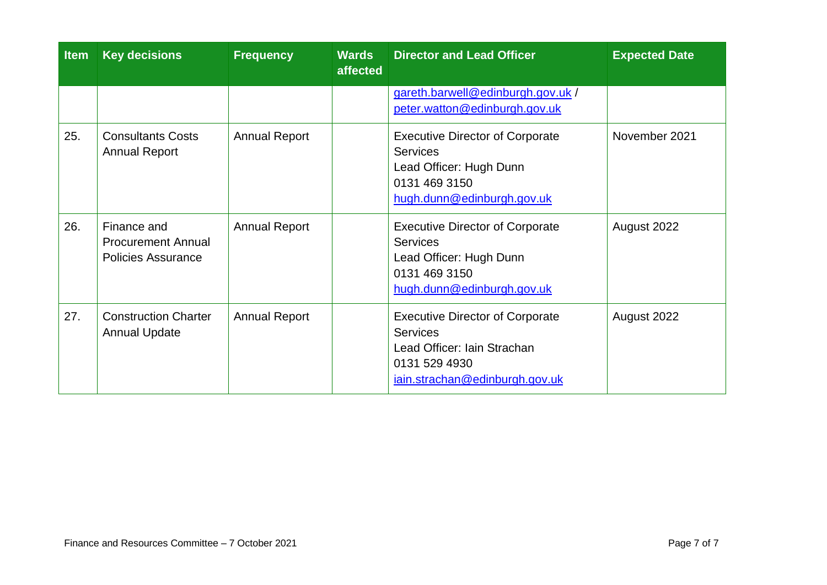| <b>Item</b> | <b>Key decisions</b>                                                  | <b>Frequency</b>     | <b>Wards</b><br>affected | <b>Director and Lead Officer</b>                                                                                                            | <b>Expected Date</b> |
|-------------|-----------------------------------------------------------------------|----------------------|--------------------------|---------------------------------------------------------------------------------------------------------------------------------------------|----------------------|
|             |                                                                       |                      |                          | gareth.barwell@edinburgh.gov.uk /<br>peter.watton@edinburgh.gov.uk                                                                          |                      |
| 25.         | <b>Consultants Costs</b><br><b>Annual Report</b>                      | <b>Annual Report</b> |                          | <b>Executive Director of Corporate</b><br><b>Services</b><br>Lead Officer: Hugh Dunn<br>0131 469 3150<br>hugh.dunn@edinburgh.gov.uk         | November 2021        |
| 26.         | Finance and<br><b>Procurement Annual</b><br><b>Policies Assurance</b> | <b>Annual Report</b> |                          | <b>Executive Director of Corporate</b><br><b>Services</b><br>Lead Officer: Hugh Dunn<br>0131 469 3150<br>hugh.dunn@edinburgh.gov.uk         | August 2022          |
| 27.         | <b>Construction Charter</b><br><b>Annual Update</b>                   | <b>Annual Report</b> |                          | <b>Executive Director of Corporate</b><br><b>Services</b><br>Lead Officer: Iain Strachan<br>0131 529 4930<br>iain.strachan@edinburgh.gov.uk | August 2022          |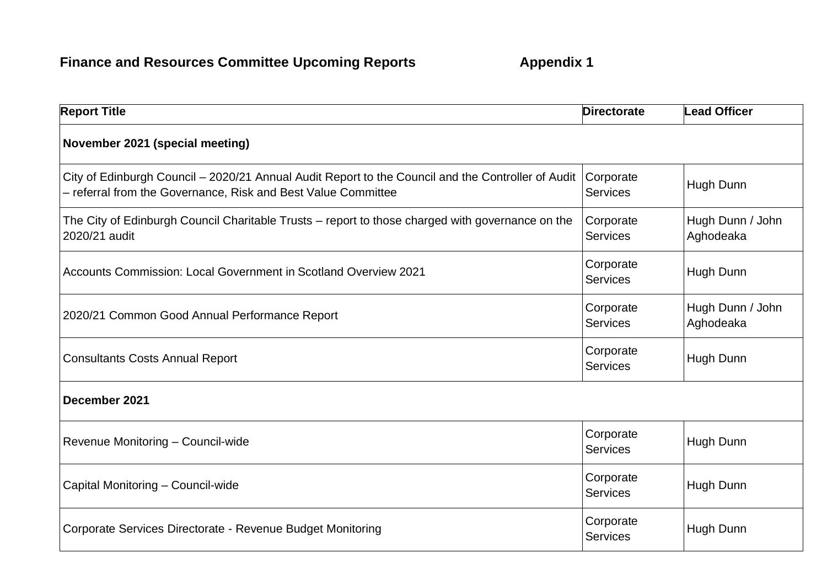| <b>Report Title</b>                                                                                                                                                 | <b>Directorate</b>           | <b>Lead Officer</b>           |  |  |  |  |
|---------------------------------------------------------------------------------------------------------------------------------------------------------------------|------------------------------|-------------------------------|--|--|--|--|
| November 2021 (special meeting)                                                                                                                                     |                              |                               |  |  |  |  |
| City of Edinburgh Council - 2020/21 Annual Audit Report to the Council and the Controller of Audit<br>- referral from the Governance, Risk and Best Value Committee | Corporate<br><b>Services</b> | Hugh Dunn                     |  |  |  |  |
| The City of Edinburgh Council Charitable Trusts – report to those charged with governance on the<br>2020/21 audit                                                   | Corporate<br><b>Services</b> | Hugh Dunn / John<br>Aghodeaka |  |  |  |  |
| Accounts Commission: Local Government in Scotland Overview 2021                                                                                                     | Corporate<br><b>Services</b> | Hugh Dunn                     |  |  |  |  |
| 2020/21 Common Good Annual Performance Report                                                                                                                       | Corporate<br><b>Services</b> | Hugh Dunn / John<br>Aghodeaka |  |  |  |  |
| <b>Consultants Costs Annual Report</b>                                                                                                                              | Corporate<br><b>Services</b> | Hugh Dunn                     |  |  |  |  |
| December 2021                                                                                                                                                       |                              |                               |  |  |  |  |
| Revenue Monitoring - Council-wide                                                                                                                                   | Corporate<br><b>Services</b> | Hugh Dunn                     |  |  |  |  |
| Capital Monitoring - Council-wide                                                                                                                                   | Corporate<br><b>Services</b> | Hugh Dunn                     |  |  |  |  |
| Corporate Services Directorate - Revenue Budget Monitoring                                                                                                          | Corporate<br><b>Services</b> | Hugh Dunn                     |  |  |  |  |